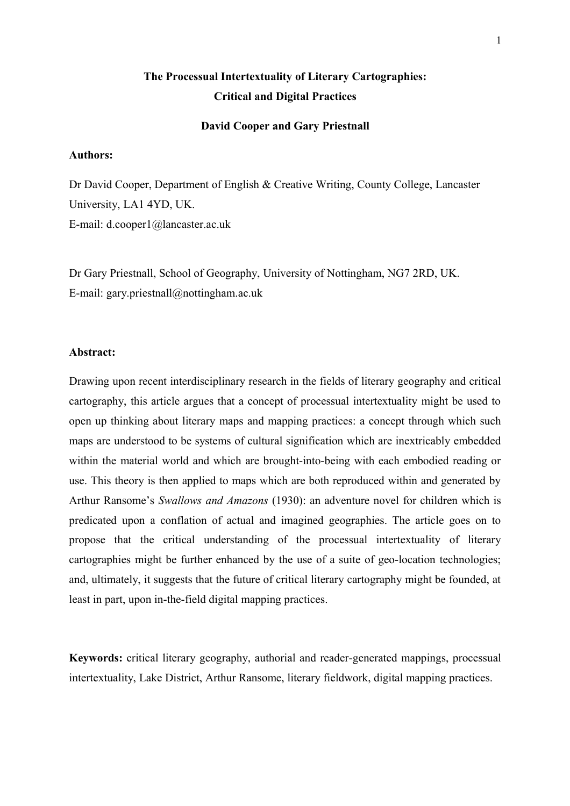# **The Processual Intertextuality of Literary Cartographies: Critical and Digital Practices**

#### **David Cooper and Gary Priestnall**

## **Authors:**

Dr David Cooper, Department of English & Creative Writing, County College, Lancaster University, LA1 4YD, UK. E-mail: d.cooper1@lancaster.ac.uk

Dr Gary Priestnall, School of Geography, University of Nottingham, NG7 2RD, UK. E-mail: gary.priestnall@nottingham.ac.uk

#### **Abstract:**

Drawing upon recent interdisciplinary research in the fields of literary geography and critical cartography, this article argues that a concept of processual intertextuality might be used to open up thinking about literary maps and mapping practices: a concept through which such maps are understood to be systems of cultural signification which are inextricably embedded within the material world and which are brought-into-being with each embodied reading or use. This theory is then applied to maps which are both reproduced within and generated by Arthur Ransome's *Swallows and Amazons* (1930): an adventure novel for children which is predicated upon a conflation of actual and imagined geographies. The article goes on to propose that the critical understanding of the processual intertextuality of literary cartographies might be further enhanced by the use of a suite of geo-location technologies; and, ultimately, it suggests that the future of critical literary cartography might be founded, at least in part, upon in-the-field digital mapping practices.

**Keywords:** critical literary geography, authorial and reader-generated mappings, processual intertextuality, Lake District, Arthur Ransome, literary fieldwork, digital mapping practices.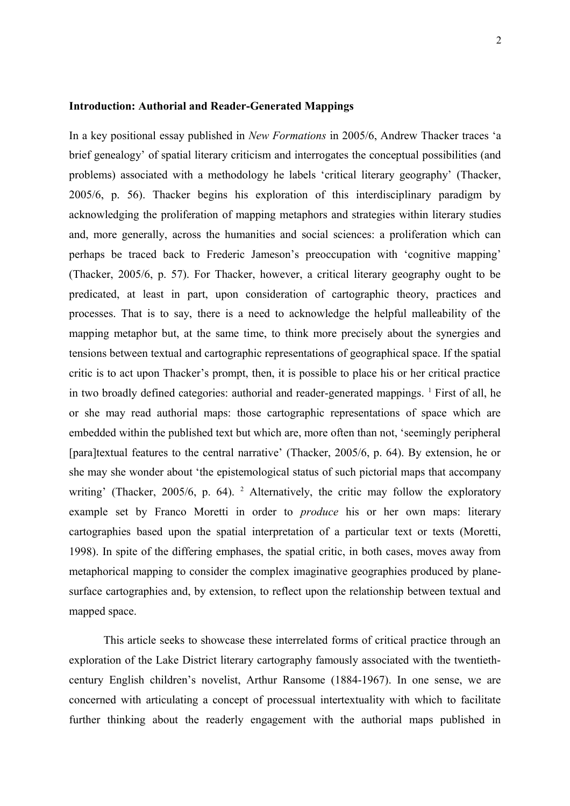#### **Introduction: Authorial and Reader-Generated Mappings**

In a key positional essay published in *New Formations* in 2005/6, Andrew Thacker traces 'a brief genealogy' of spatial literary criticism and interrogates the conceptual possibilities (and problems) associated with a methodology he labels 'critical literary geography' (Thacker, 2005/6, p. 56). Thacker begins his exploration of this interdisciplinary paradigm by acknowledging the proliferation of mapping metaphors and strategies within literary studies and, more generally, across the humanities and social sciences: a proliferation which can perhaps be traced back to Frederic Jameson's preoccupation with 'cognitive mapping' (Thacker, 2005/6, p. 57). For Thacker, however, a critical literary geography ought to be predicated, at least in part, upon consideration of cartographic theory, practices and processes. That is to say, there is a need to acknowledge the helpful malleability of the mapping metaphor but, at the same time, to think more precisely about the synergies and tensions between textual and cartographic representations of geographical space. If the spatial critic is to act upon Thacker's prompt, then, it is possible to place his or her critical practice in two broadly defined categories: authorial and reader-generated mappings. <sup>[1](#page-22-0)</sup> First of all, he or she may read authorial maps: those cartographic representations of space which are embedded within the published text but which are, more often than not, 'seemingly peripheral [para]textual features to the central narrative' (Thacker, 2005/6, p. 64). By extension, he or she may she wonder about 'the epistemological status of such pictorial maps that accompany writing'(Thacker, 2005/6, p. 64). <sup>2</sup> Alternatively, the critic may follow the exploratory example set by Franco Moretti in order to *produce* his or her own maps: literary cartographies based upon the spatial interpretation of a particular text or texts (Moretti, 1998). In spite of the differing emphases, the spatial critic, in both cases, moves away from metaphorical mapping to consider the complex imaginative geographies produced by planesurface cartographies and, by extension, to reflect upon the relationship between textual and mapped space.

This article seeks to showcase these interrelated forms of critical practice through an exploration of the Lake District literary cartography famously associated with the twentiethcentury English children's novelist, Arthur Ransome (1884-1967). In one sense, we are concerned with articulating a concept of processual intertextuality with which to facilitate further thinking about the readerly engagement with the authorial maps published in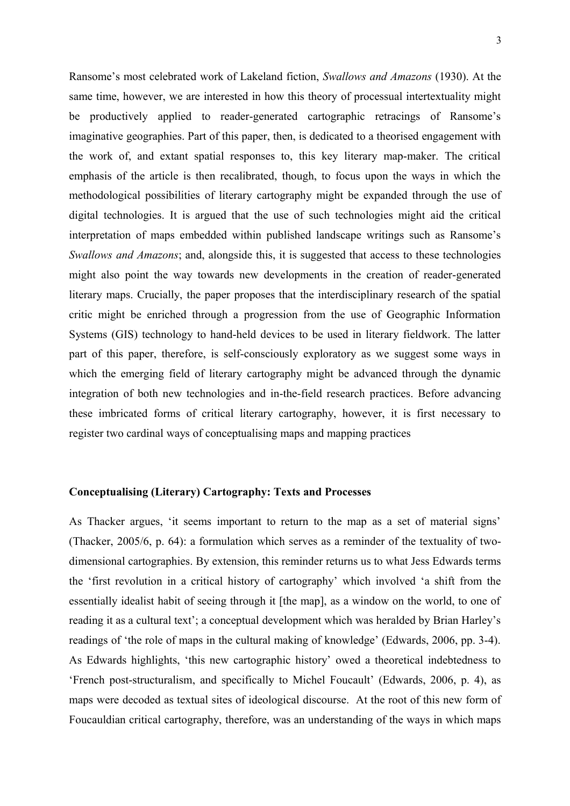Ransome's most celebrated work of Lakeland fiction, *Swallows and Amazons* (1930). At the same time, however, we are interested in how this theory of processual intertextuality might be productively applied to reader-generated cartographic retracings of Ransome's imaginative geographies. Part of this paper, then, is dedicated to a theorised engagement with the work of, and extant spatial responses to, this key literary map-maker. The critical emphasis of the article is then recalibrated, though, to focus upon the ways in which the methodological possibilities of literary cartography might be expanded through the use of digital technologies. It is argued that the use of such technologies might aid the critical interpretation of maps embedded within published landscape writings such as Ransome's *Swallows and Amazons*; and, alongside this, it is suggested that access to these technologies might also point the way towards new developments in the creation of reader-generated literary maps. Crucially, the paper proposes that the interdisciplinary research of the spatial critic might be enriched through a progression from the use of Geographic Information Systems (GIS) technology to hand-held devices to be used in literary fieldwork. The latter part of this paper, therefore, is self-consciously exploratory as we suggest some ways in which the emerging field of literary cartography might be advanced through the dynamic integration of both new technologies and in-the-field research practices. Before advancing these imbricated forms of critical literary cartography, however, it is first necessary to register two cardinal ways of conceptualising maps and mapping practices

## **Conceptualising (Literary) Cartography: Texts and Processes**

As Thacker argues, 'it seems important to return to the map as a set of material signs' (Thacker, 2005/6, p. 64): a formulation which serves as a reminder of the textuality of twodimensional cartographies. By extension, this reminder returns us to what Jess Edwards terms the 'first revolution in a critical history of cartography' which involved 'a shift from the essentially idealist habit of seeing through it [the map], as a window on the world, to one of reading it as a cultural text'; a conceptual development which was heralded by Brian Harley's readings of 'the role of maps in the cultural making of knowledge' (Edwards, 2006, pp. 3-4). As Edwards highlights, 'this new cartographic history' owed a theoretical indebtedness to 'French post-structuralism, and specifically to Michel Foucault' (Edwards, 2006, p. 4), as maps were decoded as textual sites of ideological discourse. At the root of this new form of Foucauldian critical cartography, therefore, was an understanding of the ways in which maps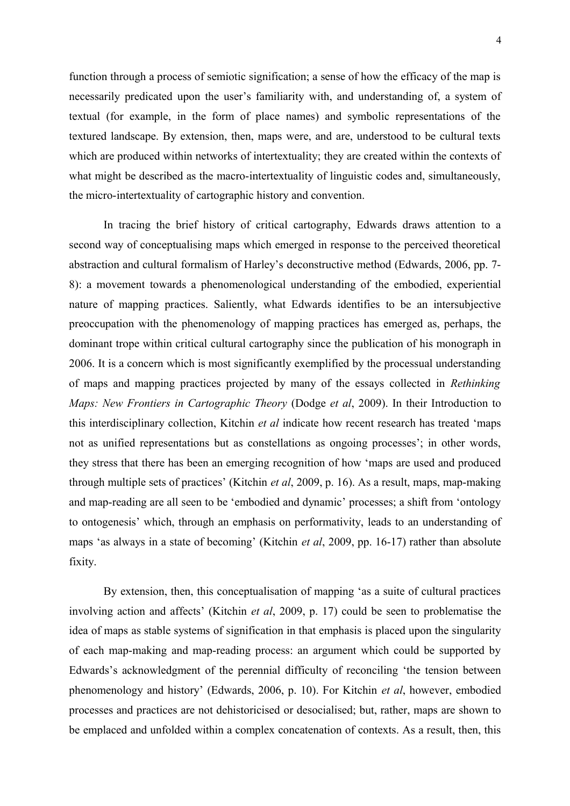function through a process of semiotic signification; a sense of how the efficacy of the map is necessarily predicated upon the user's familiarity with, and understanding of, a system of textual (for example, in the form of place names) and symbolic representations of the textured landscape. By extension, then, maps were, and are, understood to be cultural texts which are produced within networks of intertextuality; they are created within the contexts of what might be described as the macro-intertextuality of linguistic codes and, simultaneously, the micro-intertextuality of cartographic history and convention.

In tracing the brief history of critical cartography, Edwards draws attention to a second way of conceptualising maps which emerged in response to the perceived theoretical abstraction and cultural formalism of Harley's deconstructive method (Edwards, 2006, pp. 7- 8): a movement towards a phenomenological understanding of the embodied, experiential nature of mapping practices. Saliently, what Edwards identifies to be an intersubjective preoccupation with the phenomenology of mapping practices has emerged as, perhaps, the dominant trope within critical cultural cartography since the publication of his monograph in 2006. It is a concern which is most significantly exemplified by the processual understanding of maps and mapping practices projected by many of the essays collected in *Rethinking Maps: New Frontiers in Cartographic Theory* (Dodge *et al*, 2009). In their Introduction to this interdisciplinary collection, Kitchin *et al* indicate how recent research has treated 'maps not as unified representations but as constellations as ongoing processes'; in other words, they stress that there has been an emerging recognition of how 'maps are used and produced through multiple sets of practices' (Kitchin *et al*, 2009, p. 16). As a result, maps, map-making and map-reading are all seen to be 'embodied and dynamic' processes; a shift from 'ontology to ontogenesis' which, through an emphasis on performativity, leads to an understanding of maps 'as always in a state of becoming' (Kitchin *et al*, 2009, pp. 16-17) rather than absolute fixity.

By extension, then, this conceptualisation of mapping 'as a suite of cultural practices involving action and affects' (Kitchin *et al*, 2009, p. 17) could be seen to problematise the idea of maps as stable systems of signification in that emphasis is placed upon the singularity of each map-making and map-reading process: an argument which could be supported by Edwards's acknowledgment of the perennial difficulty of reconciling 'the tension between phenomenology and history' (Edwards, 2006, p. 10). For Kitchin *et al*, however, embodied processes and practices are not dehistoricised or desocialised; but, rather, maps are shown to be emplaced and unfolded within a complex concatenation of contexts. As a result, then, this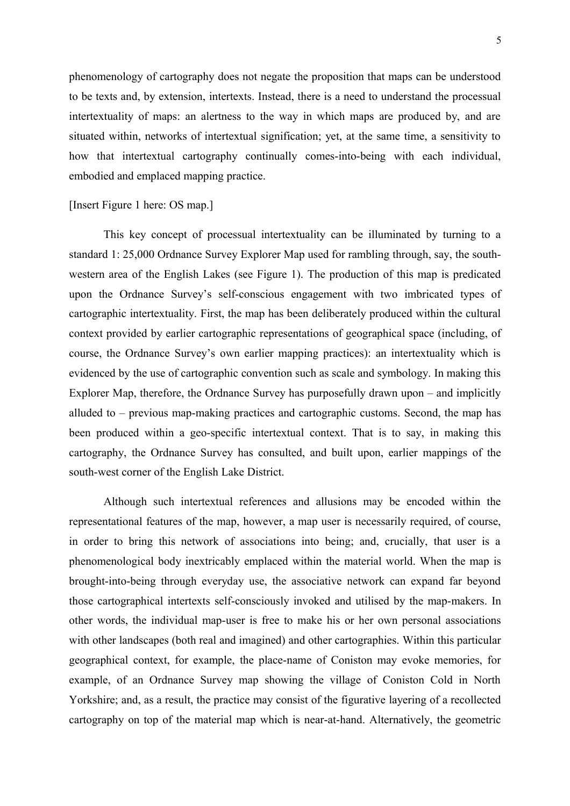phenomenology of cartography does not negate the proposition that maps can be understood to be texts and, by extension, intertexts. Instead, there is a need to understand the processual intertextuality of maps: an alertness to the way in which maps are produced by, and are situated within, networks of intertextual signification; yet, at the same time, a sensitivity to how that intertextual cartography continually comes-into-being with each individual, embodied and emplaced mapping practice.

# [Insert Figure 1 here: OS map.]

This key concept of processual intertextuality can be illuminated by turning to a standard 1: 25,000 Ordnance Survey Explorer Map used for rambling through, say, the southwestern area of the English Lakes (see Figure 1). The production of this map is predicated upon the Ordnance Survey's self-conscious engagement with two imbricated types of cartographic intertextuality. First, the map has been deliberately produced within the cultural context provided by earlier cartographic representations of geographical space (including, of course, the Ordnance Survey's own earlier mapping practices): an intertextuality which is evidenced by the use of cartographic convention such as scale and symbology. In making this Explorer Map, therefore, the Ordnance Survey has purposefully drawn upon – and implicitly alluded to – previous map-making practices and cartographic customs. Second, the map has been produced within a geo-specific intertextual context. That is to say, in making this cartography, the Ordnance Survey has consulted, and built upon, earlier mappings of the south-west corner of the English Lake District.

Although such intertextual references and allusions may be encoded within the representational features of the map, however, a map user is necessarily required, of course, in order to bring this network of associations into being; and, crucially, that user is a phenomenological body inextricably emplaced within the material world. When the map is brought-into-being through everyday use, the associative network can expand far beyond those cartographical intertexts self-consciously invoked and utilised by the map-makers. In other words, the individual map-user is free to make his or her own personal associations with other landscapes (both real and imagined) and other cartographies. Within this particular geographical context, for example, the place-name of Coniston may evoke memories, for example, of an Ordnance Survey map showing the village of Coniston Cold in North Yorkshire; and, as a result, the practice may consist of the figurative layering of a recollected cartography on top of the material map which is near-at-hand. Alternatively, the geometric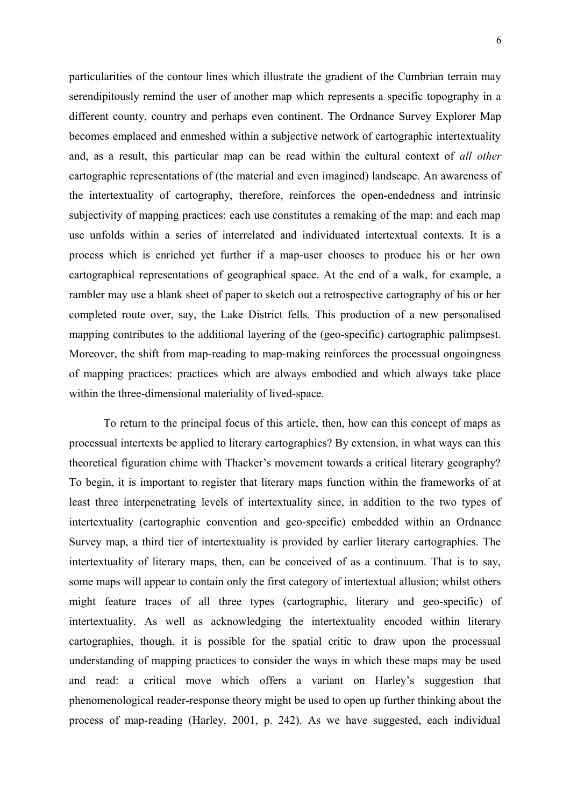particularities of the contour lines which illustrate the gradient of the Cumbrian terrain may serendipitously remind the user of another map which represents a specific topography in a different county, country and perhaps even continent. The Ordnance Survey Explorer Map becomes emplaced and enmeshed within a subjective network of cartographic intertextuality and, as a result, this particular map can be read within the cultural context of *all other* cartographic representations of (the material and even imagined) landscape. An awareness of the intertextuality of cartography, therefore, reinforces the open-endedness and intrinsic subjectivity of mapping practices: each use constitutes a remaking of the map; and each map use unfolds within a series of interrelated and individuated intertextual contexts. It is a process which is enriched yet further if a map-user chooses to produce his or her own cartographical representations of geographical space. At the end of a walk, for example, a rambler may use a blank sheet of paper to sketch out a retrospective cartography of his or her completed route over, say, the Lake District fells. This production of a new personalised mapping contributes to the additional layering of the (geo-specific) cartographic palimpsest. Moreover, the shift from map-reading to map-making reinforces the processual ongoingness of mapping practices: practices which are always embodied and which always take place within the three-dimensional materiality of lived-space.

To return to the principal focus of this article, then, how can this concept of maps as processual intertexts be applied to literary cartographies? By extension, in what ways can this theoretical figuration chime with Thacker's movement towards a critical literary geography? To begin, it is important to register that literary maps function within the frameworks of at least three interpenetrating levels of intertextuality since, in addition to the two types of intertextuality (cartographic convention and geo-specific) embedded within an Ordnance Survey map, a third tier of intertextuality is provided by earlier literary cartographies. The intertextuality of literary maps, then, can be conceived of as a continuum. That is to say, some maps will appear to contain only the first category of intertextual allusion; whilst others might feature traces of all three types (cartographic, literary and geo-specific) of intertextuality. As well as acknowledging the intertextuality encoded within literary cartographies, though, it is possible for the spatial critic to draw upon the processual understanding of mapping practices to consider the ways in which these maps may be used and read: a critical move which offers a variant on Harley's suggestion that phenomenological reader-response theory might be used to open up further thinking about the process of map-reading (Harley, 2001, p. 242). As we have suggested, each individual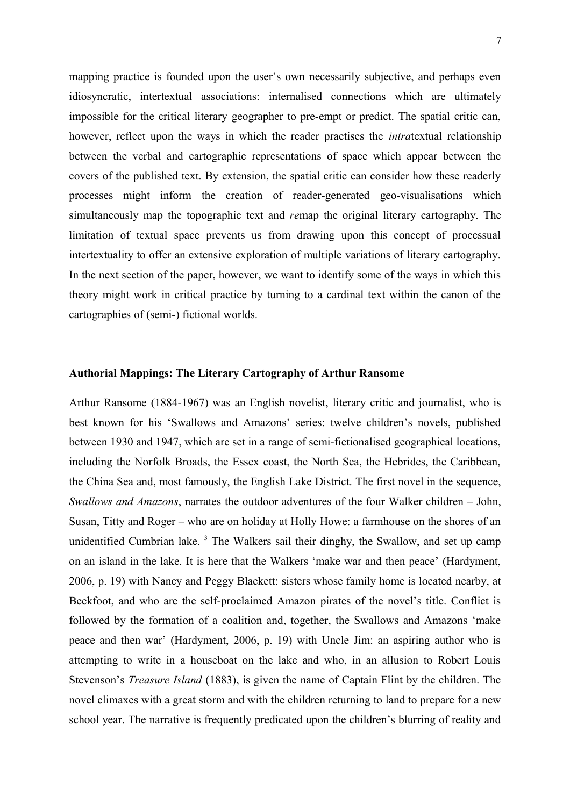mapping practice is founded upon the user's own necessarily subjective, and perhaps even idiosyncratic, intertextual associations: internalised connections which are ultimately impossible for the critical literary geographer to pre-empt or predict. The spatial critic can, however, reflect upon the ways in which the reader practises the *intra*textual relationship between the verbal and cartographic representations of space which appear between the covers of the published text. By extension, the spatial critic can consider how these readerly processes might inform the creation of reader-generated geo-visualisations which simultaneously map the topographic text and *re*map the original literary cartography. The limitation of textual space prevents us from drawing upon this concept of processual intertextuality to offer an extensive exploration of multiple variations of literary cartography. In the next section of the paper, however, we want to identify some of the ways in which this theory might work in critical practice by turning to a cardinal text within the canon of the cartographies of (semi-) fictional worlds.

# **Authorial Mappings: The Literary Cartography of Arthur Ransome**

Arthur Ransome (1884-1967) was an English novelist, literary critic and journalist, who is best known for his 'Swallows and Amazons' series: twelve children's novels, published between 1930 and 1947, which are set in a range of semi-fictionalised geographical locations, including the Norfolk Broads, the Essex coast, the North Sea, the Hebrides, the Caribbean, the China Sea and, most famously, the English Lake District. The first novel in the sequence, *Swallows and Amazons*, narrates the outdoor adventures of the four Walker children – John, Susan, Titty and Roger – who are on holiday at Holly Howe: a farmhouse on the shores of an unidentified Cumbrian lake.<sup>[3](#page-22-2)</sup> The Walkers sail their dinghy, the Swallow, and set up camp on an island in the lake. It is here that the Walkers 'make war and then peace' (Hardyment, 2006, p. 19) with Nancy and Peggy Blackett: sisters whose family home is located nearby, at Beckfoot, and who are the self-proclaimed Amazon pirates of the novel's title. Conflict is followed by the formation of a coalition and, together, the Swallows and Amazons 'make peace and then war' (Hardyment, 2006, p. 19) with Uncle Jim: an aspiring author who is attempting to write in a houseboat on the lake and who, in an allusion to Robert Louis Stevenson's *Treasure Island* (1883), is given the name of Captain Flint by the children. The novel climaxes with a great storm and with the children returning to land to prepare for a new school year. The narrative is frequently predicated upon the children's blurring of reality and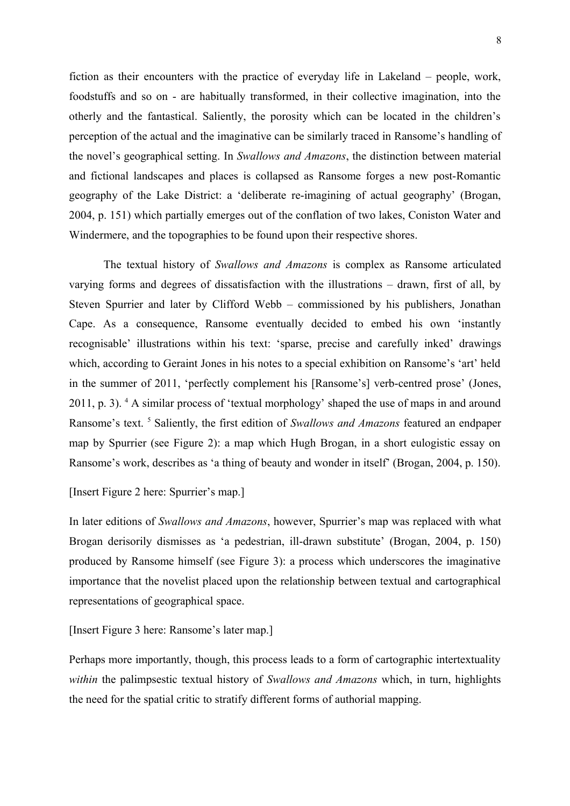fiction as their encounters with the practice of everyday life in Lakeland – people, work, foodstuffs and so on - are habitually transformed, in their collective imagination, into the otherly and the fantastical. Saliently, the porosity which can be located in the children's perception of the actual and the imaginative can be similarly traced in Ransome's handling of the novel's geographical setting. In *Swallows and Amazons*, the distinction between material and fictional landscapes and places is collapsed as Ransome forges a new post-Romantic geography of the Lake District: a 'deliberate re-imagining of actual geography' (Brogan, 2004, p. 151) which partially emerges out of the conflation of two lakes, Coniston Water and Windermere, and the topographies to be found upon their respective shores.

The textual history of *Swallows and Amazons* is complex as Ransome articulated varying forms and degrees of dissatisfaction with the illustrations – drawn, first of all, by Steven Spurrier and later by Clifford Webb – commissioned by his publishers, Jonathan Cape. As a consequence, Ransome eventually decided to embed his own 'instantly recognisable' illustrations within his text: 'sparse, precise and carefully inked' drawings which, according to Geraint Jones in his notes to a special exhibition on Ransome's 'art' held in the summer of 2011, 'perfectly complement his [Ransome's] verb-centred prose' (Jones, 2011, p. 3). <sup>[4](#page-22-3)</sup> A similar process of 'textual morphology' shaped the use of maps in and around Ransome's text.<sup>[5](#page-22-4)</sup> Saliently, the first edition of *Swallows and Amazons* featured an endpaper map by Spurrier (see Figure 2): a map which Hugh Brogan, in a short eulogistic essay on Ransome's work, describes as 'a thing of beauty and wonder in itself' (Brogan, 2004, p. 150).

# [Insert Figure 2 here: Spurrier's map.]

In later editions of *Swallows and Amazons*, however, Spurrier's map was replaced with what Brogan derisorily dismisses as 'a pedestrian, ill-drawn substitute' (Brogan, 2004, p. 150) produced by Ransome himself (see Figure 3): a process which underscores the imaginative importance that the novelist placed upon the relationship between textual and cartographical representations of geographical space.

[Insert Figure 3 here: Ransome's later map.]

Perhaps more importantly, though, this process leads to a form of cartographic intertextuality *within* the palimpsestic textual history of *Swallows and Amazons* which, in turn, highlights the need for the spatial critic to stratify different forms of authorial mapping.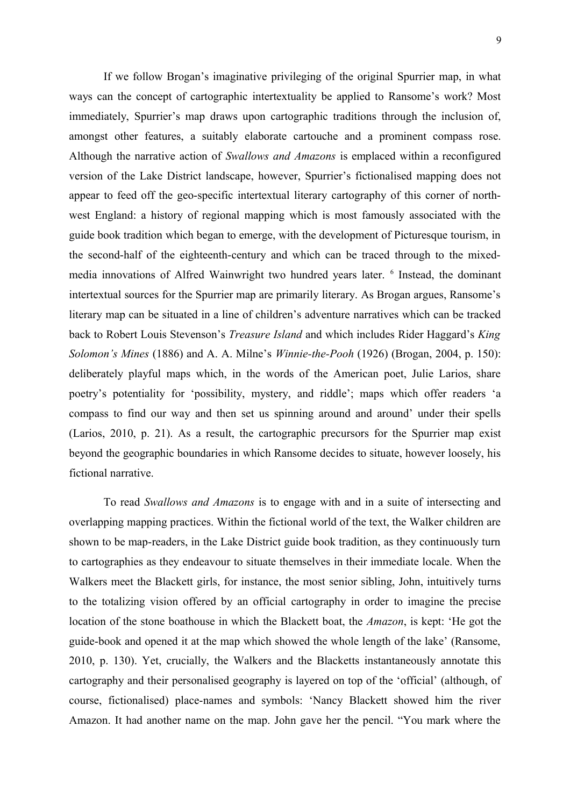If we follow Brogan's imaginative privileging of the original Spurrier map, in what ways can the concept of cartographic intertextuality be applied to Ransome's work? Most immediately, Spurrier's map draws upon cartographic traditions through the inclusion of, amongst other features, a suitably elaborate cartouche and a prominent compass rose. Although the narrative action of *Swallows and Amazons* is emplaced within a reconfigured version of the Lake District landscape, however, Spurrier's fictionalised mapping does not appear to feed off the geo-specific intertextual literary cartography of this corner of northwest England: a history of regional mapping which is most famously associated with the guide book tradition which began to emerge, with the development of Picturesque tourism, in the second-half of the eighteenth-century and which can be traced through to the mixedmediainnovations of Alfred Wainwright two hundred years later. <sup>6</sup> Instead, the dominant intertextual sources for the Spurrier map are primarily literary. As Brogan argues, Ransome's literary map can be situated in a line of children's adventure narratives which can be tracked back to Robert Louis Stevenson's *Treasure Island* and which includes Rider Haggard's *King Solomon's Mines* (1886) and A. A. Milne's *Winnie-the-Pooh* (1926) (Brogan, 2004, p. 150): deliberately playful maps which, in the words of the American poet, Julie Larios, share poetry's potentiality for 'possibility, mystery, and riddle'; maps which offer readers 'a compass to find our way and then set us spinning around and around' under their spells (Larios, 2010, p. 21). As a result, the cartographic precursors for the Spurrier map exist beyond the geographic boundaries in which Ransome decides to situate, however loosely, his fictional narrative.

To read *Swallows and Amazons* is to engage with and in a suite of intersecting and overlapping mapping practices. Within the fictional world of the text, the Walker children are shown to be map-readers, in the Lake District guide book tradition, as they continuously turn to cartographies as they endeavour to situate themselves in their immediate locale. When the Walkers meet the Blackett girls, for instance, the most senior sibling, John, intuitively turns to the totalizing vision offered by an official cartography in order to imagine the precise location of the stone boathouse in which the Blackett boat, the *Amazon*, is kept: 'He got the guide-book and opened it at the map which showed the whole length of the lake' (Ransome, 2010, p. 130). Yet, crucially, the Walkers and the Blacketts instantaneously annotate this cartography and their personalised geography is layered on top of the 'official' (although, of course, fictionalised) place-names and symbols: 'Nancy Blackett showed him the river Amazon. It had another name on the map. John gave her the pencil. "You mark where the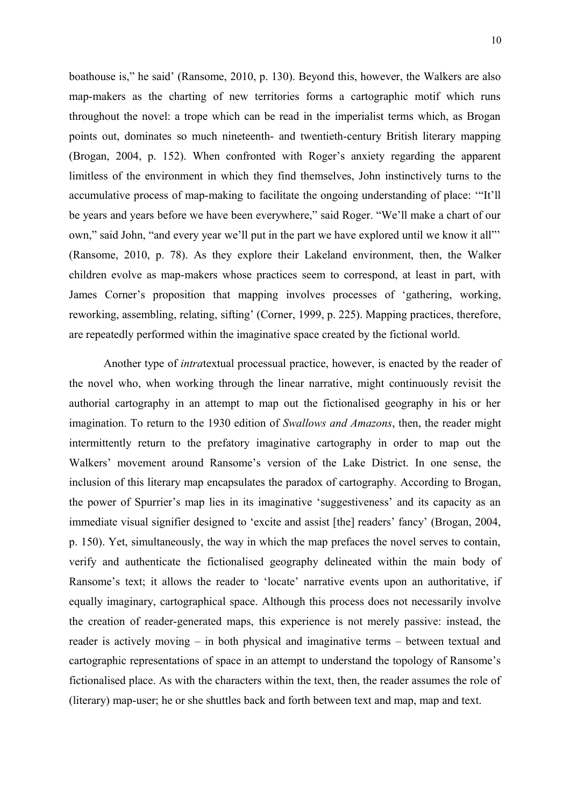boathouse is," he said' (Ransome, 2010, p. 130). Beyond this, however, the Walkers are also map-makers as the charting of new territories forms a cartographic motif which runs throughout the novel: a trope which can be read in the imperialist terms which, as Brogan points out, dominates so much nineteenth- and twentieth-century British literary mapping (Brogan, 2004, p. 152). When confronted with Roger's anxiety regarding the apparent limitless of the environment in which they find themselves, John instinctively turns to the accumulative process of map-making to facilitate the ongoing understanding of place: '"It'll be years and years before we have been everywhere," said Roger. "We'll make a chart of our own," said John, "and every year we'll put in the part we have explored until we know it all"' (Ransome, 2010, p. 78). As they explore their Lakeland environment, then, the Walker children evolve as map-makers whose practices seem to correspond, at least in part, with James Corner's proposition that mapping involves processes of 'gathering, working, reworking, assembling, relating, sifting' (Corner, 1999, p. 225). Mapping practices, therefore, are repeatedly performed within the imaginative space created by the fictional world.

Another type of *intra*textual processual practice, however, is enacted by the reader of the novel who, when working through the linear narrative, might continuously revisit the authorial cartography in an attempt to map out the fictionalised geography in his or her imagination. To return to the 1930 edition of *Swallows and Amazons*, then, the reader might intermittently return to the prefatory imaginative cartography in order to map out the Walkers' movement around Ransome's version of the Lake District. In one sense, the inclusion of this literary map encapsulates the paradox of cartography. According to Brogan, the power of Spurrier's map lies in its imaginative 'suggestiveness' and its capacity as an immediate visual signifier designed to 'excite and assist [the] readers' fancy' (Brogan, 2004, p. 150). Yet, simultaneously, the way in which the map prefaces the novel serves to contain, verify and authenticate the fictionalised geography delineated within the main body of Ransome's text; it allows the reader to 'locate' narrative events upon an authoritative, if equally imaginary, cartographical space. Although this process does not necessarily involve the creation of reader-generated maps, this experience is not merely passive: instead, the reader is actively moving – in both physical and imaginative terms – between textual and cartographic representations of space in an attempt to understand the topology of Ransome's fictionalised place. As with the characters within the text, then, the reader assumes the role of (literary) map-user; he or she shuttles back and forth between text and map, map and text.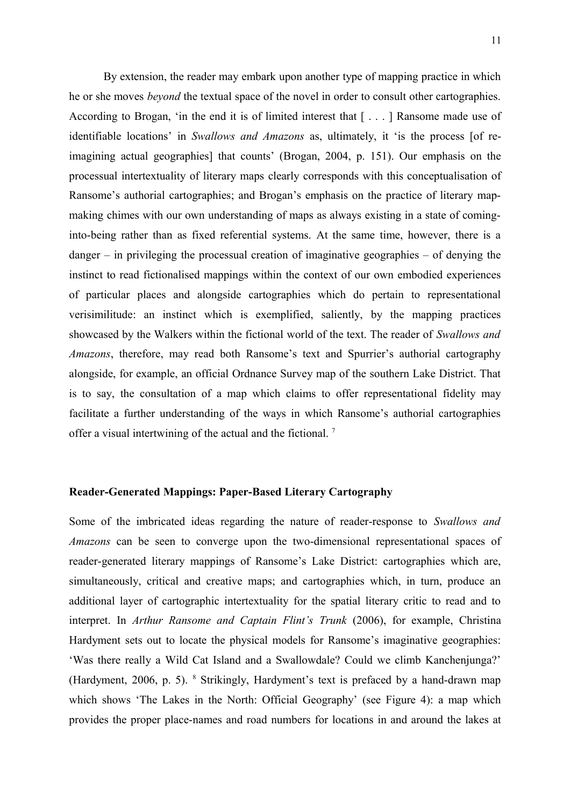By extension, the reader may embark upon another type of mapping practice in which he or she moves *beyond* the textual space of the novel in order to consult other cartographies. According to Brogan, 'in the end it is of limited interest that [ . . . ] Ransome made use of identifiable locations' in *Swallows and Amazons* as, ultimately, it 'is the process [of reimagining actual geographies] that counts' (Brogan, 2004, p. 151). Our emphasis on the processual intertextuality of literary maps clearly corresponds with this conceptualisation of Ransome's authorial cartographies; and Brogan's emphasis on the practice of literary mapmaking chimes with our own understanding of maps as always existing in a state of cominginto-being rather than as fixed referential systems. At the same time, however, there is a danger – in privileging the processual creation of imaginative geographies – of denying the instinct to read fictionalised mappings within the context of our own embodied experiences of particular places and alongside cartographies which do pertain to representational verisimilitude: an instinct which is exemplified, saliently, by the mapping practices showcased by the Walkers within the fictional world of the text. The reader of *Swallows and Amazons*, therefore, may read both Ransome's text and Spurrier's authorial cartography alongside, for example, an official Ordnance Survey map of the southern Lake District. That is to say, the consultation of a map which claims to offer representational fidelity may facilitate a further understanding of the ways in which Ransome's authorial cartographies offer a visual intertwining of the actual and the fictional.<sup>[7](#page-22-6)</sup>

## **Reader-Generated Mappings: Paper-Based Literary Cartography**

Some of the imbricated ideas regarding the nature of reader-response to *Swallows and Amazons* can be seen to converge upon the two-dimensional representational spaces of reader-generated literary mappings of Ransome's Lake District: cartographies which are, simultaneously, critical and creative maps; and cartographies which, in turn, produce an additional layer of cartographic intertextuality for the spatial literary critic to read and to interpret. In *Arthur Ransome and Captain Flint's Trunk* (2006), for example, Christina Hardyment sets out to locate the physical models for Ransome's imaginative geographies: 'Was there really a Wild Cat Island and a Swallowdale? Could we climb Kanchenjunga?' (Hardyment,2006, p. 5). <sup>8</sup> Strikingly, Hardyment's text is prefaced by a hand-drawn map which shows 'The Lakes in the North: Official Geography' (see Figure 4): a map which provides the proper place-names and road numbers for locations in and around the lakes at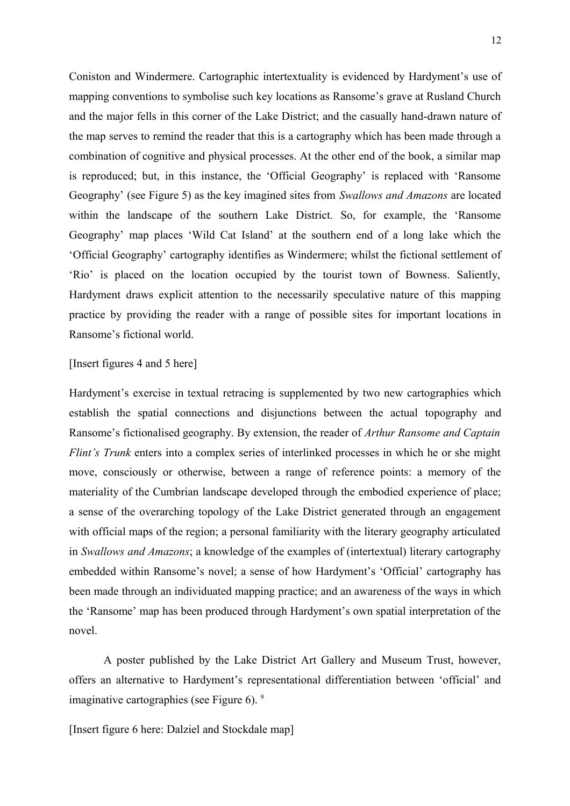Coniston and Windermere. Cartographic intertextuality is evidenced by Hardyment's use of mapping conventions to symbolise such key locations as Ransome's grave at Rusland Church and the major fells in this corner of the Lake District; and the casually hand-drawn nature of the map serves to remind the reader that this is a cartography which has been made through a combination of cognitive and physical processes. At the other end of the book, a similar map is reproduced; but, in this instance, the 'Official Geography' is replaced with 'Ransome Geography' (see Figure 5) as the key imagined sites from *Swallows and Amazons* are located within the landscape of the southern Lake District. So, for example, the 'Ransome Geography' map places 'Wild Cat Island' at the southern end of a long lake which the 'Official Geography' cartography identifies as Windermere; whilst the fictional settlement of 'Rio' is placed on the location occupied by the tourist town of Bowness. Saliently, Hardyment draws explicit attention to the necessarily speculative nature of this mapping practice by providing the reader with a range of possible sites for important locations in Ransome's fictional world.

# [Insert figures 4 and 5 here]

Hardyment's exercise in textual retracing is supplemented by two new cartographies which establish the spatial connections and disjunctions between the actual topography and Ransome's fictionalised geography. By extension, the reader of *Arthur Ransome and Captain Flint's Trunk* enters into a complex series of interlinked processes in which he or she might move, consciously or otherwise, between a range of reference points: a memory of the materiality of the Cumbrian landscape developed through the embodied experience of place; a sense of the overarching topology of the Lake District generated through an engagement with official maps of the region; a personal familiarity with the literary geography articulated in *Swallows and Amazons*; a knowledge of the examples of (intertextual) literary cartography embedded within Ransome's novel; a sense of how Hardyment's 'Official' cartography has been made through an individuated mapping practice; and an awareness of the ways in which the 'Ransome' map has been produced through Hardyment's own spatial interpretation of the novel.

A poster published by the Lake District Art Gallery and Museum Trust, however, offers an alternative to Hardyment's representational differentiation between 'official' and imaginative cartographies (see Figure 6).<sup>[9](#page-22-8)</sup>

[Insert figure 6 here: Dalziel and Stockdale map]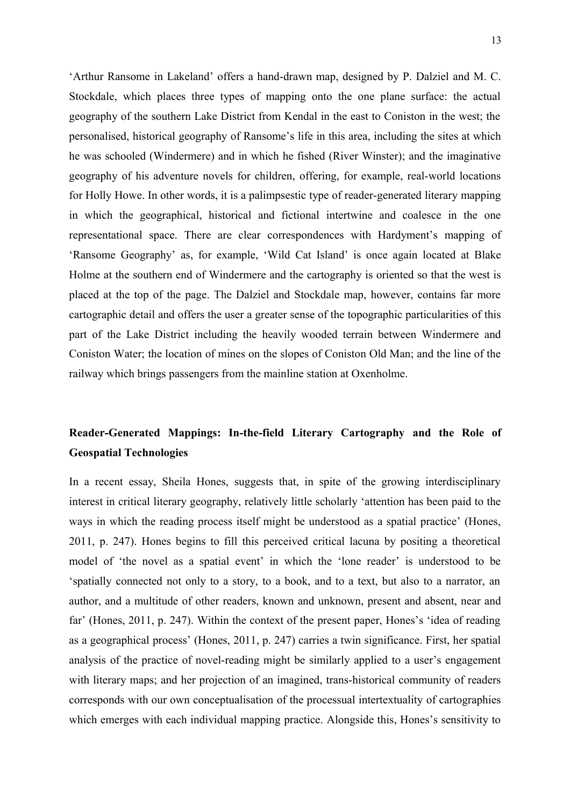'Arthur Ransome in Lakeland' offers a hand-drawn map, designed by P. Dalziel and M. C. Stockdale, which places three types of mapping onto the one plane surface: the actual geography of the southern Lake District from Kendal in the east to Coniston in the west; the personalised, historical geography of Ransome's life in this area, including the sites at which he was schooled (Windermere) and in which he fished (River Winster); and the imaginative geography of his adventure novels for children, offering, for example, real-world locations for Holly Howe. In other words, it is a palimpsestic type of reader-generated literary mapping in which the geographical, historical and fictional intertwine and coalesce in the one representational space. There are clear correspondences with Hardyment's mapping of 'Ransome Geography' as, for example, 'Wild Cat Island' is once again located at Blake Holme at the southern end of Windermere and the cartography is oriented so that the west is placed at the top of the page. The Dalziel and Stockdale map, however, contains far more cartographic detail and offers the user a greater sense of the topographic particularities of this part of the Lake District including the heavily wooded terrain between Windermere and Coniston Water; the location of mines on the slopes of Coniston Old Man; and the line of the railway which brings passengers from the mainline station at Oxenholme.

# **Reader-Generated Mappings: In-the-field Literary Cartography and the Role of Geospatial Technologies**

In a recent essay, Sheila Hones, suggests that, in spite of the growing interdisciplinary interest in critical literary geography, relatively little scholarly 'attention has been paid to the ways in which the reading process itself might be understood as a spatial practice' (Hones, 2011, p. 247). Hones begins to fill this perceived critical lacuna by positing a theoretical model of 'the novel as a spatial event' in which the 'lone reader' is understood to be 'spatially connected not only to a story, to a book, and to a text, but also to a narrator, an author, and a multitude of other readers, known and unknown, present and absent, near and far' (Hones, 2011, p. 247). Within the context of the present paper, Hones's 'idea of reading as a geographical process' (Hones, 2011, p. 247) carries a twin significance. First, her spatial analysis of the practice of novel-reading might be similarly applied to a user's engagement with literary maps; and her projection of an imagined, trans-historical community of readers corresponds with our own conceptualisation of the processual intertextuality of cartographies which emerges with each individual mapping practice. Alongside this, Hones's sensitivity to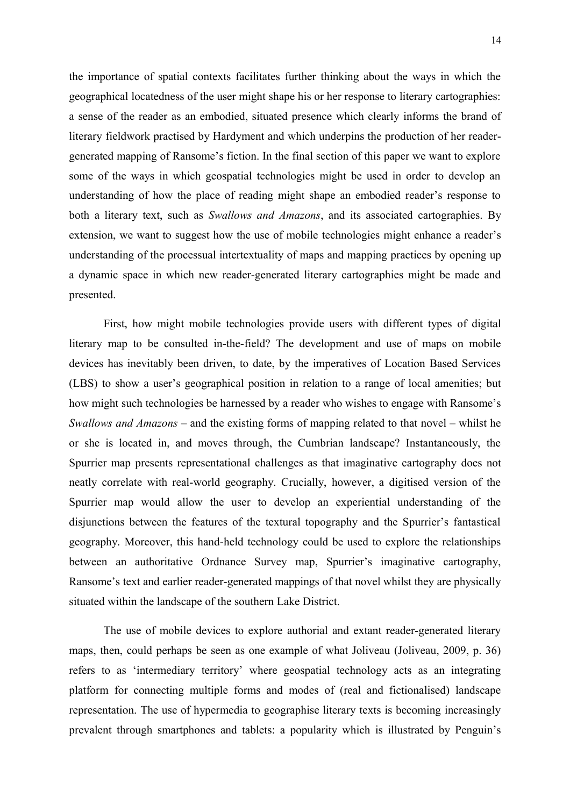the importance of spatial contexts facilitates further thinking about the ways in which the geographical locatedness of the user might shape his or her response to literary cartographies: a sense of the reader as an embodied, situated presence which clearly informs the brand of literary fieldwork practised by Hardyment and which underpins the production of her readergenerated mapping of Ransome's fiction. In the final section of this paper we want to explore some of the ways in which geospatial technologies might be used in order to develop an understanding of how the place of reading might shape an embodied reader's response to both a literary text, such as *Swallows and Amazons*, and its associated cartographies. By extension, we want to suggest how the use of mobile technologies might enhance a reader's understanding of the processual intertextuality of maps and mapping practices by opening up a dynamic space in which new reader-generated literary cartographies might be made and presented.

First, how might mobile technologies provide users with different types of digital literary map to be consulted in-the-field? The development and use of maps on mobile devices has inevitably been driven, to date, by the imperatives of Location Based Services (LBS) to show a user's geographical position in relation to a range of local amenities; but how might such technologies be harnessed by a reader who wishes to engage with Ransome's *Swallows and Amazons* – and the existing forms of mapping related to that novel – whilst he or she is located in, and moves through, the Cumbrian landscape? Instantaneously, the Spurrier map presents representational challenges as that imaginative cartography does not neatly correlate with real-world geography. Crucially, however, a digitised version of the Spurrier map would allow the user to develop an experiential understanding of the disjunctions between the features of the textural topography and the Spurrier's fantastical geography. Moreover, this hand-held technology could be used to explore the relationships between an authoritative Ordnance Survey map, Spurrier's imaginative cartography, Ransome's text and earlier reader-generated mappings of that novel whilst they are physically situated within the landscape of the southern Lake District.

The use of mobile devices to explore authorial and extant reader-generated literary maps, then, could perhaps be seen as one example of what Joliveau (Joliveau, 2009, p. 36) refers to as 'intermediary territory' where geospatial technology acts as an integrating platform for connecting multiple forms and modes of (real and fictionalised) landscape representation. The use of hypermedia to geographise literary texts is becoming increasingly prevalent through smartphones and tablets: a popularity which is illustrated by Penguin's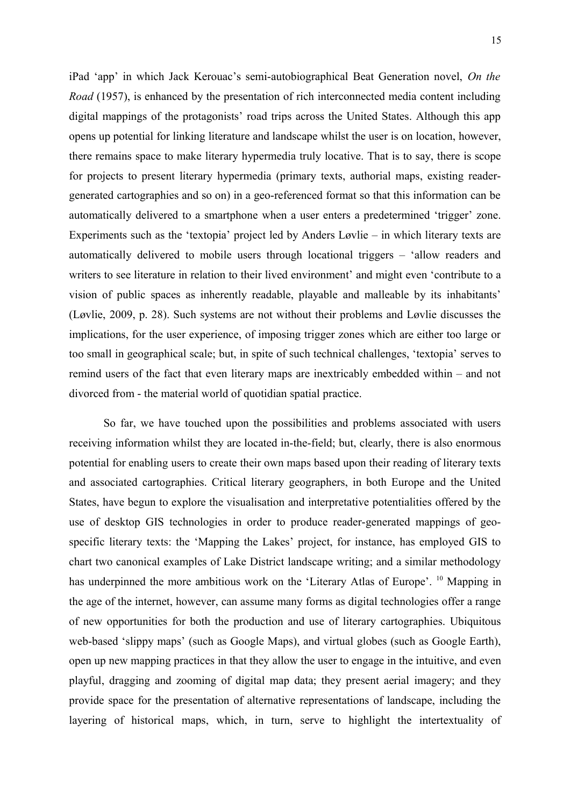iPad 'app' in which Jack Kerouac's semi-autobiographical Beat Generation novel, *On the Road* (1957), is enhanced by the presentation of rich interconnected media content including digital mappings of the protagonists' road trips across the United States. Although this app opens up potential for linking literature and landscape whilst the user is on location, however, there remains space to make literary hypermedia truly locative. That is to say, there is scope for projects to present literary hypermedia (primary texts, authorial maps, existing readergenerated cartographies and so on) in a geo-referenced format so that this information can be automatically delivered to a smartphone when a user enters a predetermined 'trigger' zone. Experiments such as the 'textopia' project led by Anders Løvlie – in which literary texts are automatically delivered to mobile users through locational triggers – 'allow readers and writers to see literature in relation to their lived environment' and might even 'contribute to a vision of public spaces as inherently readable, playable and malleable by its inhabitants' (Løvlie, 2009, p. 28). Such systems are not without their problems and Løvlie discusses the implications, for the user experience, of imposing trigger zones which are either too large or too small in geographical scale; but, in spite of such technical challenges, 'textopia' serves to remind users of the fact that even literary maps are inextricably embedded within – and not divorced from - the material world of quotidian spatial practice.

So far, we have touched upon the possibilities and problems associated with users receiving information whilst they are located in-the-field; but, clearly, there is also enormous potential for enabling users to create their own maps based upon their reading of literary texts and associated cartographies. Critical literary geographers, in both Europe and the United States, have begun to explore the visualisation and interpretative potentialities offered by the use of desktop GIS technologies in order to produce reader-generated mappings of geospecific literary texts: the 'Mapping the Lakes' project, for instance, has employed GIS to chart two canonical examples of Lake District landscape writing; and a similar methodology has underpinned the more ambitious work on the 'Literary Atlas of Europe'. <sup>[10](#page-22-9)</sup> Mapping in the age of the internet, however, can assume many forms as digital technologies offer a range of new opportunities for both the production and use of literary cartographies. Ubiquitous web-based 'slippy maps' (such as Google Maps), and virtual globes (such as Google Earth), open up new mapping practices in that they allow the user to engage in the intuitive, and even playful, dragging and zooming of digital map data; they present aerial imagery; and they provide space for the presentation of alternative representations of landscape, including the layering of historical maps, which, in turn, serve to highlight the intertextuality of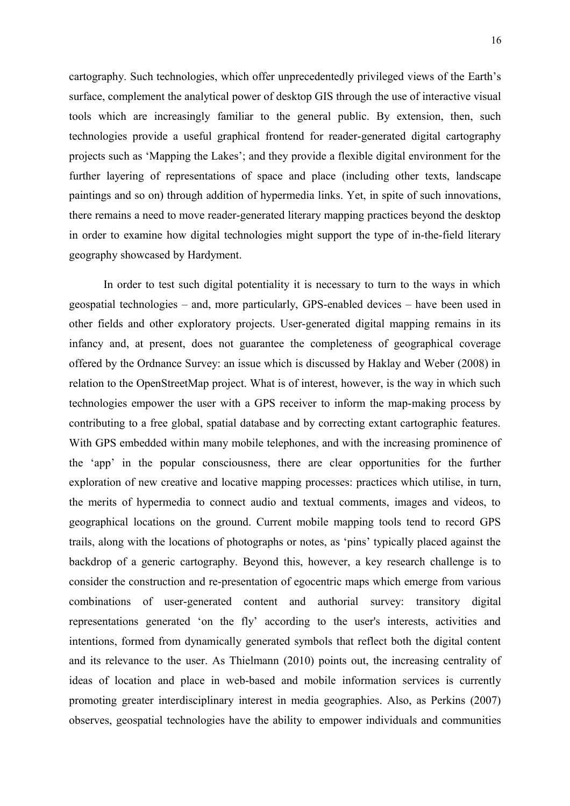cartography. Such technologies, which offer unprecedentedly privileged views of the Earth's surface, complement the analytical power of desktop GIS through the use of interactive visual tools which are increasingly familiar to the general public. By extension, then, such technologies provide a useful graphical frontend for reader-generated digital cartography projects such as 'Mapping the Lakes'; and they provide a flexible digital environment for the further layering of representations of space and place (including other texts, landscape paintings and so on) through addition of hypermedia links. Yet, in spite of such innovations, there remains a need to move reader-generated literary mapping practices beyond the desktop in order to examine how digital technologies might support the type of in-the-field literary geography showcased by Hardyment.

In order to test such digital potentiality it is necessary to turn to the ways in which geospatial technologies – and, more particularly, GPS-enabled devices – have been used in other fields and other exploratory projects. User-generated digital mapping remains in its infancy and, at present, does not guarantee the completeness of geographical coverage offered by the Ordnance Survey: an issue which is discussed by Haklay and Weber (2008) in relation to the OpenStreetMap project. What is of interest, however, is the way in which such technologies empower the user with a GPS receiver to inform the map-making process by contributing to a free global, spatial database and by correcting extant cartographic features. With GPS embedded within many mobile telephones, and with the increasing prominence of the 'app' in the popular consciousness, there are clear opportunities for the further exploration of new creative and locative mapping processes: practices which utilise, in turn, the merits of hypermedia to connect audio and textual comments, images and videos, to geographical locations on the ground. Current mobile mapping tools tend to record GPS trails, along with the locations of photographs or notes, as 'pins' typically placed against the backdrop of a generic cartography. Beyond this, however, a key research challenge is to consider the construction and re-presentation of egocentric maps which emerge from various combinations of user-generated content and authorial survey: transitory digital representations generated 'on the fly' according to the user's interests, activities and intentions, formed from dynamically generated symbols that reflect both the digital content and its relevance to the user. As Thielmann (2010) points out, the increasing centrality of ideas of location and place in web-based and mobile information services is currently promoting greater interdisciplinary interest in media geographies. Also, as Perkins (2007) observes, geospatial technologies have the ability to empower individuals and communities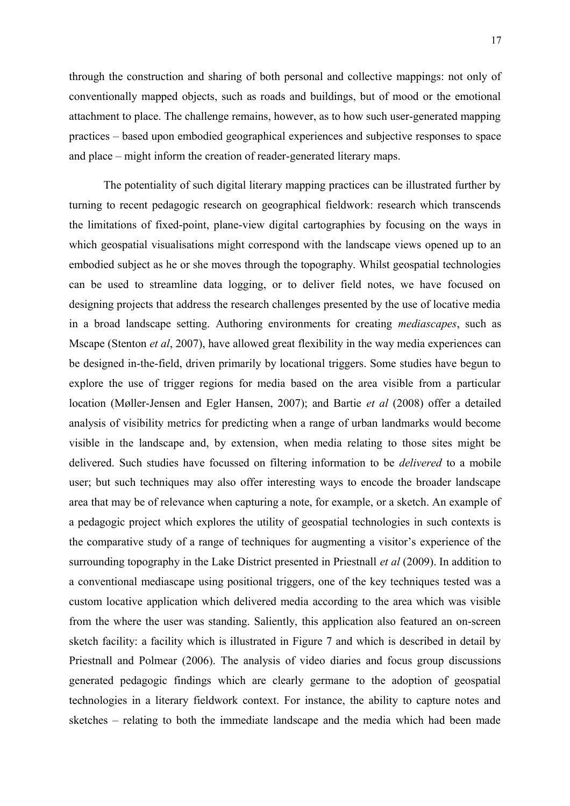17

through the construction and sharing of both personal and collective mappings: not only of conventionally mapped objects, such as roads and buildings, but of mood or the emotional attachment to place. The challenge remains, however, as to how such user-generated mapping practices – based upon embodied geographical experiences and subjective responses to space and place – might inform the creation of reader-generated literary maps.

The potentiality of such digital literary mapping practices can be illustrated further by turning to recent pedagogic research on geographical fieldwork: research which transcends the limitations of fixed-point, plane-view digital cartographies by focusing on the ways in which geospatial visualisations might correspond with the landscape views opened up to an embodied subject as he or she moves through the topography. Whilst geospatial technologies can be used to streamline data logging, or to deliver field notes, we have focused on designing projects that address the research challenges presented by the use of locative media in a broad landscape setting. Authoring environments for creating *mediascapes*, such as Mscape (Stenton *et al*, 2007), have allowed great flexibility in the way media experiences can be designed in-the-field, driven primarily by locational triggers. Some studies have begun to explore the use of trigger regions for media based on the area visible from a particular location (Møller-Jensen and Egler Hansen, 2007); and Bartie *et al* (2008) offer a detailed analysis of visibility metrics for predicting when a range of urban landmarks would become visible in the landscape and, by extension, when media relating to those sites might be delivered. Such studies have focussed on filtering information to be *delivered* to a mobile user; but such techniques may also offer interesting ways to encode the broader landscape area that may be of relevance when capturing a note, for example, or a sketch. An example of a pedagogic project which explores the utility of geospatial technologies in such contexts is the comparative study of a range of techniques for augmenting a visitor's experience of the surrounding topography in the Lake District presented in Priestnall *et al* (2009). In addition to a conventional mediascape using positional triggers, one of the key techniques tested was a custom locative application which delivered media according to the area which was visible from the where the user was standing. Saliently, this application also featured an on-screen sketch facility: a facility which is illustrated in Figure 7 and which is described in detail by Priestnall and Polmear (2006). The analysis of video diaries and focus group discussions generated pedagogic findings which are clearly germane to the adoption of geospatial technologies in a literary fieldwork context. For instance, the ability to capture notes and sketches – relating to both the immediate landscape and the media which had been made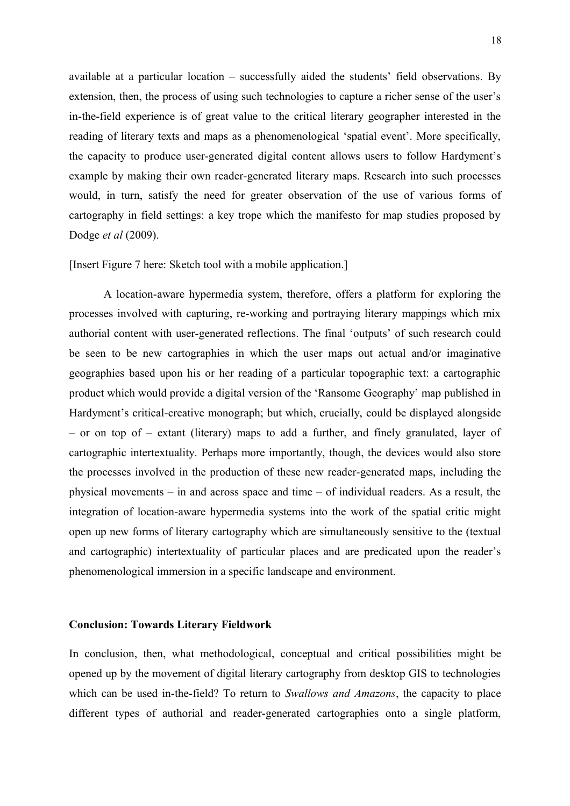available at a particular location – successfully aided the students' field observations. By extension, then, the process of using such technologies to capture a richer sense of the user's in-the-field experience is of great value to the critical literary geographer interested in the reading of literary texts and maps as a phenomenological 'spatial event'. More specifically, the capacity to produce user-generated digital content allows users to follow Hardyment's example by making their own reader-generated literary maps. Research into such processes would, in turn, satisfy the need for greater observation of the use of various forms of cartography in field settings: a key trope which the manifesto for map studies proposed by Dodge *et al* (2009).

[Insert Figure 7 here: Sketch tool with a mobile application.]

A location-aware hypermedia system, therefore, offers a platform for exploring the processes involved with capturing, re-working and portraying literary mappings which mix authorial content with user-generated reflections. The final 'outputs' of such research could be seen to be new cartographies in which the user maps out actual and/or imaginative geographies based upon his or her reading of a particular topographic text: a cartographic product which would provide a digital version of the 'Ransome Geography' map published in Hardyment's critical-creative monograph; but which, crucially, could be displayed alongside – or on top of – extant (literary) maps to add a further, and finely granulated, layer of cartographic intertextuality. Perhaps more importantly, though, the devices would also store the processes involved in the production of these new reader-generated maps, including the physical movements – in and across space and time – of individual readers. As a result, the integration of location-aware hypermedia systems into the work of the spatial critic might open up new forms of literary cartography which are simultaneously sensitive to the (textual and cartographic) intertextuality of particular places and are predicated upon the reader's phenomenological immersion in a specific landscape and environment.

## **Conclusion: Towards Literary Fieldwork**

In conclusion, then, what methodological, conceptual and critical possibilities might be opened up by the movement of digital literary cartography from desktop GIS to technologies which can be used in-the-field? To return to *Swallows and Amazons*, the capacity to place different types of authorial and reader-generated cartographies onto a single platform,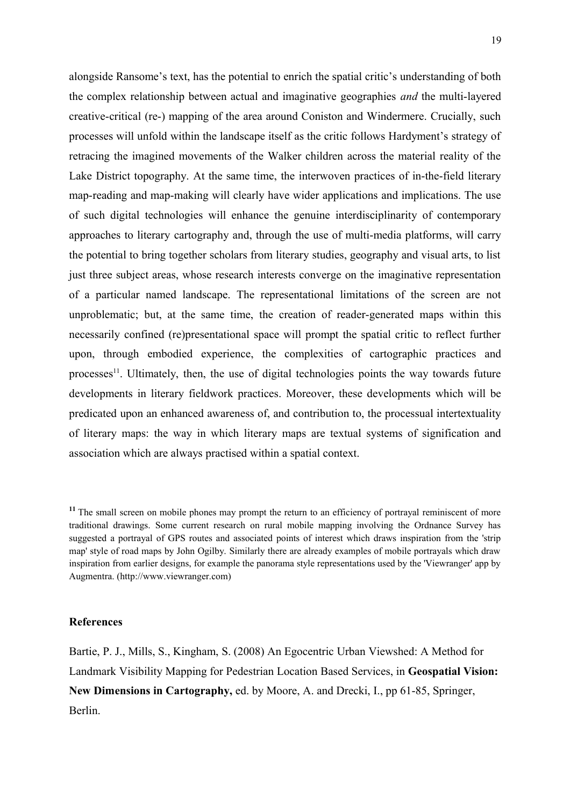alongside Ransome's text, has the potential to enrich the spatial critic's understanding of both the complex relationship between actual and imaginative geographies *and* the multi-layered creative-critical (re-) mapping of the area around Coniston and Windermere. Crucially, such processes will unfold within the landscape itself as the critic follows Hardyment's strategy of retracing the imagined movements of the Walker children across the material reality of the Lake District topography. At the same time, the interwoven practices of in-the-field literary map-reading and map-making will clearly have wider applications and implications. The use of such digital technologies will enhance the genuine interdisciplinarity of contemporary approaches to literary cartography and, through the use of multi-media platforms, will carry the potential to bring together scholars from literary studies, geography and visual arts, to list just three subject areas, whose research interests converge on the imaginative representation of a particular named landscape. The representational limitations of the screen are not unproblematic; but, at the same time, the creation of reader-generated maps within this necessarily confined (re)presentational space will prompt the spatial critic to reflect further upon, through embodied experience, the complexities of cartographic practices and processes $11$ . Ultimately, then, the use of digital technologies points the way towards future developments in literary fieldwork practices. Moreover, these developments which will be predicated upon an enhanced awareness of, and contribution to, the processual intertextuality of literary maps: the way in which literary maps are textual systems of signification and association which are always practised within a spatial context.

#### **References**

Bartie, P. J., Mills, S., Kingham, S. (2008) An Egocentric Urban Viewshed: A Method for Landmark Visibility Mapping for Pedestrian Location Based Services, in **Geospatial Vision: New Dimensions in Cartography,** ed. by Moore, A. and Drecki, I., pp 61-85, Springer, Berlin.

<sup>&</sup>lt;sup>11</sup> The small screen on mobile phones may prompt the return to an efficiency of portrayal reminiscent of more traditional drawings. Some current research on rural mobile mapping involving the Ordnance Survey has suggested a portrayal of GPS routes and associated points of interest which draws inspiration from the 'strip map' style of road maps by John Ogilby. Similarly there are already examples of mobile portrayals which draw inspiration from earlier designs, for example the panorama style representations used by the 'Viewranger' app by Augmentra. (http://www.viewranger.com)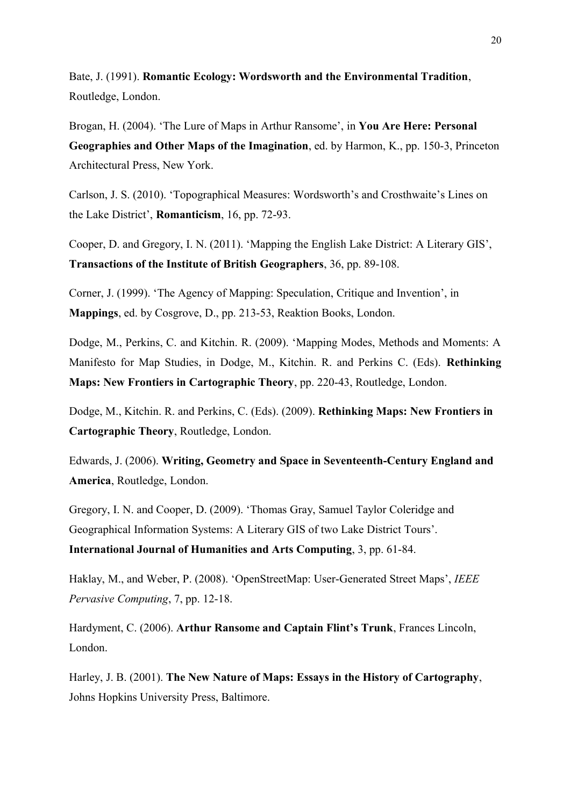Bate, J. (1991). **Romantic Ecology: Wordsworth and the Environmental Tradition**, Routledge, London.

Brogan, H. (2004). 'The Lure of Maps in Arthur Ransome', in **You Are Here: Personal Geographies and Other Maps of the Imagination**, ed. by Harmon, K., pp. 150-3, Princeton Architectural Press, New York.

Carlson, J. S. (2010). 'Topographical Measures: Wordsworth's and Crosthwaite's Lines on the Lake District', **Romanticism**, 16, pp. 72-93.

Cooper, D. and Gregory, I. N. (2011). 'Mapping the English Lake District: A Literary GIS', **Transactions of the Institute of British Geographers**, 36, pp. 89-108.

Corner, J. (1999). 'The Agency of Mapping: Speculation, Critique and Invention', in **Mappings**, ed. by Cosgrove, D., pp. 213-53, Reaktion Books, London.

Dodge, M., Perkins, C. and Kitchin. R. (2009). 'Mapping Modes, Methods and Moments: A Manifesto for Map Studies, in Dodge, M., Kitchin. R. and Perkins C. (Eds). **Rethinking Maps: New Frontiers in Cartographic Theory**, pp. 220-43, Routledge, London.

Dodge, M., Kitchin. R. and Perkins, C. (Eds). (2009). **Rethinking Maps: New Frontiers in Cartographic Theory**, Routledge, London.

Edwards, J. (2006). **Writing, Geometry and Space in Seventeenth-Century England and America**, Routledge, London.

Gregory, I. N. and Cooper, D. (2009). 'Thomas Gray, Samuel Taylor Coleridge and Geographical Information Systems: A Literary GIS of two Lake District Tours'. **International Journal of Humanities and Arts Computing**, 3, pp. 61-84.

Haklay, M., and Weber, P. (2008). 'OpenStreetMap: User-Generated Street Maps', *IEEE Pervasive Computing*, 7, pp. 12-18.

Hardyment, C. (2006). **Arthur Ransome and Captain Flint's Trunk**, Frances Lincoln, London.

Harley, J. B. (2001). **The New Nature of Maps: Essays in the History of Cartography**, Johns Hopkins University Press, Baltimore.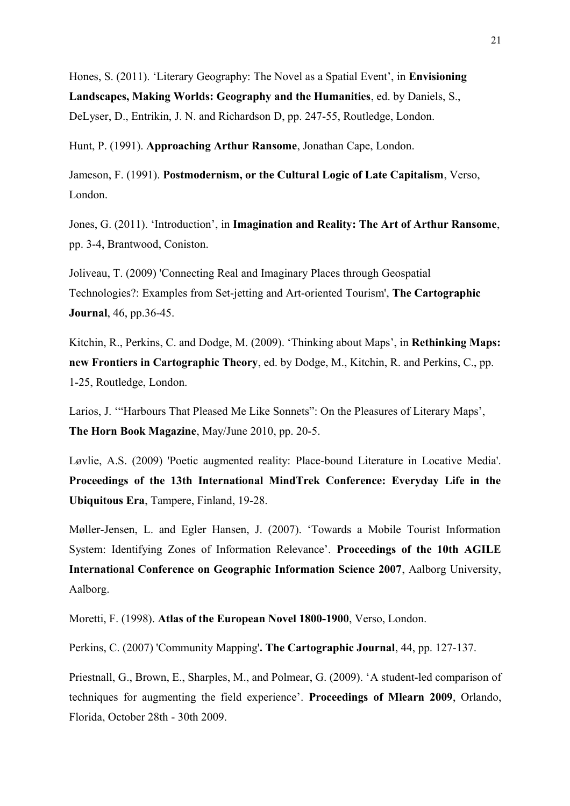Hones, S. (2011). 'Literary Geography: The Novel as a Spatial Event', in **Envisioning Landscapes, Making Worlds: Geography and the Humanities**, ed. by Daniels, S., DeLyser, D., Entrikin, J. N. and Richardson D, pp. 247-55, Routledge, London.

Hunt, P. (1991). **Approaching Arthur Ransome**, Jonathan Cape, London.

Jameson, F. (1991). **Postmodernism, or the Cultural Logic of Late Capitalism**, Verso, London.

Jones, G. (2011). 'Introduction', in **Imagination and Reality: The Art of Arthur Ransome**, pp. 3-4, Brantwood, Coniston.

Joliveau, T. (2009) 'Connecting Real and Imaginary Places through Geospatial Technologies?: Examples from Set-jetting and Art-oriented Tourism', **The Cartographic Journal**, 46, pp.36-45.

Kitchin, R., Perkins, C. and Dodge, M. (2009). 'Thinking about Maps', in **Rethinking Maps: new Frontiers in Cartographic Theory**, ed. by Dodge, M., Kitchin, R. and Perkins, C., pp. 1-25, Routledge, London.

Larios, J. '"Harbours That Pleased Me Like Sonnets": On the Pleasures of Literary Maps', **The Horn Book Magazine**, May/June 2010, pp. 20-5.

Løvlie, A.S. (2009) 'Poetic augmented reality: Place-bound Literature in Locative Media'. **Proceedings of the 13th International MindTrek Conference: Everyday Life in the Ubiquitous Era**, Tampere, Finland, 19-28.

Møller-Jensen, L. and Egler Hansen, J. (2007). 'Towards a Mobile Tourist Information System: Identifying Zones of Information Relevance'. **Proceedings of the 10th AGILE International Conference on Geographic Information Science 2007**, Aalborg University, Aalborg.

Moretti, F. (1998). **Atlas of the European Novel 1800-1900**, Verso, London.

Perkins, C. (2007) 'Community Mapping'**. The Cartographic Journal**, 44, pp. 127-137.

Priestnall, G., Brown, E., Sharples, M., and Polmear, G. (2009). 'A student-led comparison of techniques for augmenting the field experience'. **Proceedings of Mlearn 2009**, Orlando, Florida, October 28th - 30th 2009.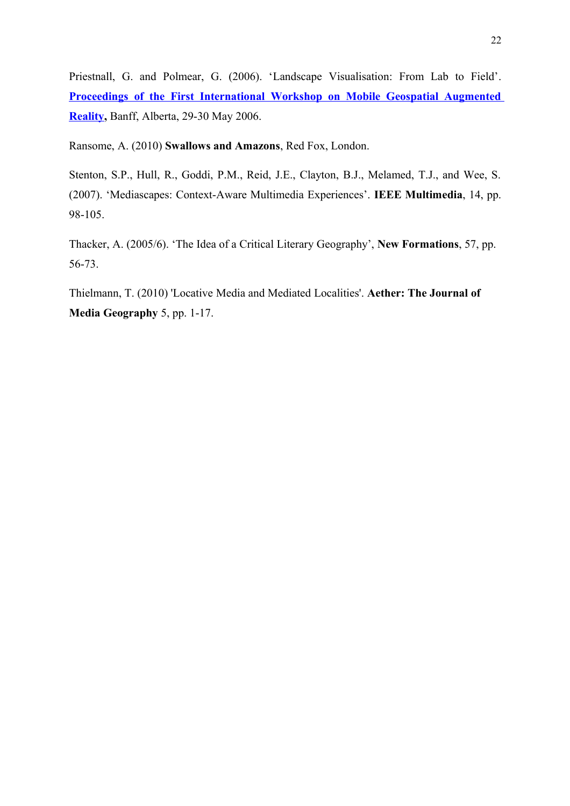Priestnall, G. and Polmear, G. (2006). 'Landscape Visualisation: From Lab to Field'. **[Proceedings of the First International Workshop on Mobile Geospatial Augmented](http://regard.crg.ulaval.ca/) [Reality,](http://regard.crg.ulaval.ca/)** Banff, Alberta, 29-30 May 2006.

Ransome, A. (2010) **Swallows and Amazons**, Red Fox, London.

Stenton, S.P., Hull, R., Goddi, P.M., Reid, J.E., Clayton, B.J., Melamed, T.J., and Wee, S. (2007). 'Mediascapes: Context-Aware Multimedia Experiences'. **IEEE Multimedia**, 14, pp. 98-105.

Thacker, A. (2005/6). 'The Idea of a Critical Literary Geography', **New Formations**, 57, pp. 56-73.

Thielmann, T. (2010) 'Locative Media and Mediated Localities'. **Aether: The Journal of Media Geography** 5, pp. 1-17.